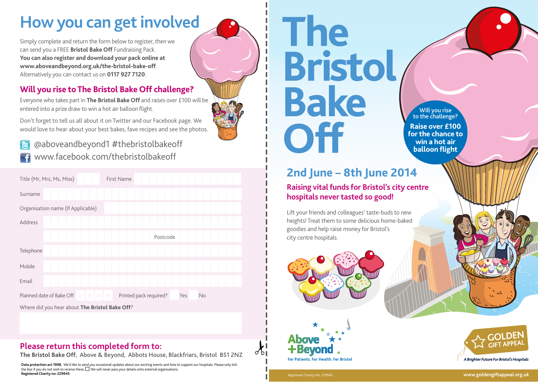### **How you can get involved**

Simply complete and return the form below to register, then we can send you a FREE **Bristol Bake Off** Fundraising Pack. **You can also register and download your pack online at www.aboveandbeyond.org.uk/the-bristol-bake-off**. Alternatively you can contact us on **0117 927 7120**.

#### **Will you rise to The Bristol Bake Off challenge?**

Everyone who takes part in **The Bristol Bake Off** and raises over £100 will be entered into a prize draw to win a hot air balloon flight.

Don't forget to tell us all about it on Twitter and our Facebook page. We would love to hear about your best bakes, fave recipes and see the photos.

**balloon flight** @aboveandbeyond1 #thebristolbakeoff www.facebook.com/thebristolbakeoff

| Title (Mr, Mrs, Ms, Miss)                      | First Name                                 |
|------------------------------------------------|--------------------------------------------|
| Surname                                        |                                            |
| Organisation name (If Applicable)              |                                            |
| Address                                        |                                            |
|                                                | Postcode                                   |
| Telephone                                      |                                            |
| Mobile                                         |                                            |
| Email                                          |                                            |
| Planned date of Bake Off D<br>$D$ $M$ $M$      | Printed pack required?<br>Yes<br><b>No</b> |
| Where did you hear about The Bristol Bake Off? |                                            |

#### **Please return this completed form to:**

**The Bristol Bake Off**, Above & Beyond, Abbots House, Blackfriars, Bristol BS1 2NZ

**Data protection act 1998.** We'd like to send you occasional updates about our exciting events and how to support our hospitals. Please only tick<br>the box if you do not wish to receive these.□ We will never pass your detai **Registered Charity no: 229945**

# **The Bristol Bake Off**

Will you rise to the challenge? **Raise over £100 for the chance to win a hot air** 

#### **2nd June – 8th June 2014**

**Raising vital funds for Bristol's city centre hospitals never tasted so good!**

Lift your friends and colleagues' taste-buds to new heights! Treat them to some delicious home-baked goodies and help raise money for Bristol's city centre hospitals.







Registered Charity No. 229945

 $\lambda$ !